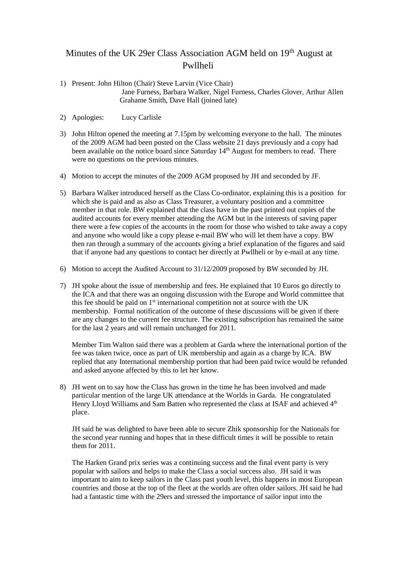## Minutes of the UK 29er Class Association AGM held on 19<sup>th</sup> August at Pwllheli

- 1) Present: John Hilton (Chair) Steve Larvin (Vice Chair) Jane Furness, Barbara Walker, Nigel Furness, Charles Glover, Arthur Allen Grahame Smith, Dave Hall (joined late)
- 2) Apologies: Lucy Carlisle
- 3) John Hilton opened the meeting at 7.15pm by welcoming everyone to the hall. The minutes of the 2009 AGM had been posted on the Class website 21 days previously and a copy had been available on the notice board since Saturday 14<sup>th</sup> August for members to read. There were no questions on the previous minutes.
- 4) Motion to accept the minutes of the 2009 AGM proposed by JH and seconded by JF.
- 5) Barbara Walker introduced herself as the Class Co-ordinator, explaining this is a position for which she is paid and as also as Class Treasurer, a voluntary position and a committee member in that role. BW explained that the class have in the past printed out copies of the audited accounts for every member attending the AGM but in the interests of saving paper there were a few copies of the accounts in the room for those who wished to take away a copy and anyone who would like a copy please e-mail BW who will let them have a copy. BW then ran through a summary of the accounts giving a brief explanation of the figures and said that if anyone had any questions to contact her directly at Pwllheli or by e-mail at any time.
- 6) Motion to accept the Audited Account to 31/12/2009 proposed by BW seconded by JH.
- 7) JH spoke about the issue of membership and fees. He explained that 10 Euros go directly to the ICA and that there was an ongoing discussion with the Europe and World committee that this fee should be paid on  $1<sup>st</sup>$  international competition not at source with the UK membership. Formal notification of the outcome of these discussions will be given if there are any changes to the current fee structure. The existing subscription has remained the same for the last 2 years and will remain unchanged for 2011.

Member Tim Walton said there was a problem at Garda where the international portion of the fee was taken twice, once as part of UK membership and again as a charge by ICA. BW replied that any International membership portion that had been paid twice would be refunded and asked anyone affected by this to let her know.

8) JH went on to say how the Class has grown in the time he has been involved and made particular mention of the large UK attendance at the Worlds in Garda. He congratulated Henry Lloyd Williams and Sam Batten who represented the class at ISAF and achieved  $4<sup>th</sup>$ place.

JH said he was delighted to have been able to secure Zhik sponsorship for the Nationals for the second year running and hopes that in these difficult times it will be possible to retain them for 2011.

The Harken Grand prix series was a continuing success and the final event party is very popular with sailors and helps to make the Class a social success also. JH said it was important to aim to keep sailors in the Class past youth level, this happens in most European countries and those at the top of the fleet at the worlds are often older sailors. JH said he had had a fantastic time with the 29ers and stressed the importance of sailor input into the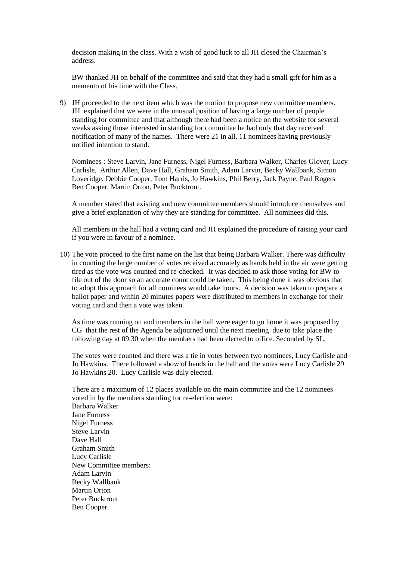decision making in the class. With a wish of good luck to all JH closed the Chairman's address.

BW thanked JH on behalf of the committee and said that they had a small gift for him as a memento of his time with the Class.

9) JH proceeded to the next item which was the motion to propose new committee members. JH explained that we were in the unusual position of having a large number of people standing for committee and that although there had been a notice on the website for several weeks asking those interested in standing for committee he had only that day received notification of many of the names. There were 21 in all, 11 nominees having previously notified intention to stand.

Nominees : Steve Larvin, Jane Furness, Nigel Furness, Barbara Walker, Charles Glover, Lucy Carlisle, Arthur Allen, Dave Hall, Graham Smith, Adam Larvin, Becky Wallbank, Simon Loveridge, Debbie Cooper, Tom Harris, Jo Hawkins, Phil Berry, Jack Payne, Paul Rogers Ben Cooper, Martin Orton, Peter Bucktrout.

A member stated that existing and new committee members should introduce themselves and give a brief explanation of why they are standing for committee. All nominees did this.

All members in the hall had a voting card and JH explained the procedure of raising your card if you were in favour of a nominee.

10) The vote proceed to the first name on the list that being Barbara Walker. There was difficulty in counting the large number of votes received accurately as hands held in the air were getting tired as the vote was counted and re-checked. It was decided to ask those voting for BW to file out of the door so an accurate count could be taken. This being done it was obvious that to adopt this approach for all nominees would take hours. A decision was taken to prepare a ballot paper and within 20 minutes papers were distributed to members in exchange for their voting card and then a vote was taken.

As time was running on and members in the hall were eager to go home it was proposed by CG that the rest of the Agenda be adjourned until the next meeting due to take place the following day at 09.30 when the members had been elected to office. Seconded by SL.

The votes were counted and there was a tie in votes between two nominees, Lucy Carlisle and Jo Hawkins. There followed a show of hands in the hall and the votes were Lucy Carlisle 29 Jo Hawkins 20. Lucy Carlisle was duly elected.

There are a maximum of 12 places available on the main committee and the 12 nominees voted in by the members standing for re-election were: Barbara Walker Jane Furness Nigel Furness Steve Larvin Dave Hall Graham Smith Lucy Carlisle New Committee members: Adam Larvin Becky Wallbank Martin Orton Peter Bucktrout Ben Cooper